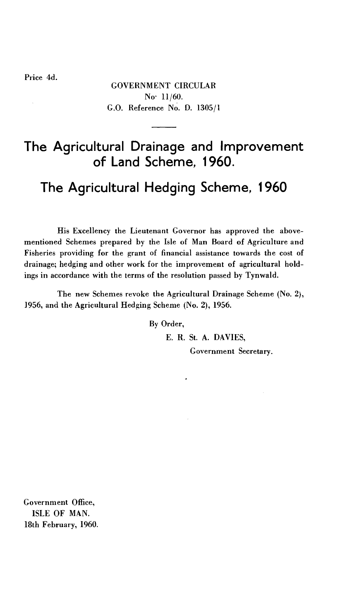Price 4d.

GOVERNMENT CIRCULAR No• 11/60. G.O. Reference No. D. 1305/1

# **The Agricultural Drainage and Improvement of Land Scheme, 1960.**

# **The Agricultural Hedging Scheme, 1960**

His Excellency the Lieutenant Governor has approved the abovementioned Schemes prepared by the Isle of Man Board of Agriculture and Fisheries providing for the grant of financial assistance towards the cost of drainage; hedging and other work for the improvement of agricultural holdings in accordance with the terms of the resolution passed by Tynwald.

The new Schemes revoke the Agricultural Drainage Scheme (No. 2), ]956, and the Agricultural Hedging Scheme (No. 2), 1956.

By Order,

E. R. St. A. DAVIES,

Government Secretary.

Government Office, ISLE OF MAN. 18th February, 1960.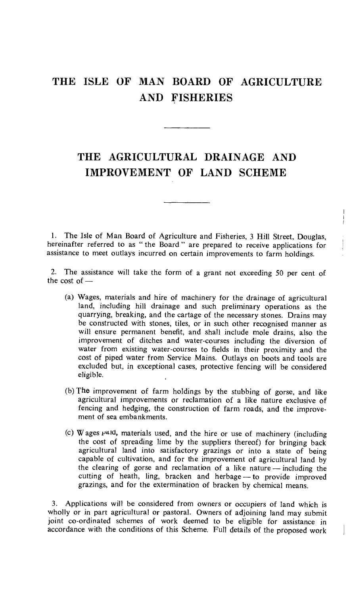## THE ISLE OF MAN BOARD OF AGRICULTURE AND FISHERIES

### THE AGRICULTURAL DRAINAGE AND IMPROVEMENT OF LAND SCHEME

1. The Isle of Man Board of Agriculture and Fisheries, 3 Hill Street, Douglas, hereinafter referred to as " the Board " are prepared to receive applications for assistance to meet outlays incurred on certain improvements to farm holdings.

 $\mathsf I$  $\frac{1}{2}$ 

2. The assistance will take the form of a grant not exceeding 50 per cent of the cost of —

- (a) Wages, materials and hire of machinery for the drainage of agricultural land, including hill drainage and such preliminary operations as the quarrying, breaking, and the cartage of the necessary stones. Drains may be constructed with stones, tiles, or in such other recognised manner as will ensure permanent benefit, and shall include mole drains, also the improvement of ditches and water-courses including the diversion of water from existing water-courses to fields in their proximity and the cost of piped water from Service Mains. Outlays on boots and tools are excluded but, in exceptional cases, protective fencing will be considered eligible.
- (b) The improvement of farm holdings by the stubbing of gorse, and like agricultural improvements or reclamation of a like nature exclusive of fencing and hedging, the construction of farm roads, and the improvement of sea embankments.
- (c) W ages  $P^{\text{all}}$ , materials used, and the hire or use of machinery (including the cost of spreading lime by the suppliers thereof) for bringing back agricultural land into satisfactory grazings or into a state of being capable of cultivation, and for the improvement of agricultural land by the clearing of gorse and reclamation of a like nature — including the cutting of heath, ling, bracken and herbage — to provide improved grazings, and for the extermination of bracken by chemical means.

3. Applications will be considered from owners or occupiers of land which is wholly or in part agricultural or pastoral. Owners of adjoining land may submit joint co-ordinated schemes of work deemed to be eligible for assistance in accordance with the conditions of this Scheme. Full details of the proposed work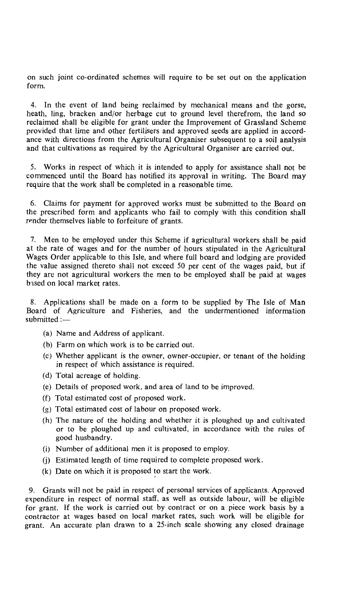on such joint co-ordinated schemes will require to be set out on the application form.

4. In the event of land being reclaimed by mechanical means and the gorse, heath, ling, bracken and/or herbage cut to ground level therefrom, the land so reclaimed shall be eligible for grant under the Improvement of Grassland Scheme provided that lime and other fertilisers and approved seeds are applied in accordance with directions from the Agricultural Organiser subsequent to a soil analysis and that cultivations as required by the Agricultural Organiser are carried out.

5. Works in respect of which it is intended to apply for assistance shall not be commenced until the Board has notified its approval in writing. The Board may require that the work shall be completed in a reasonable time.

6. Claims for payment for approved works must be submitted to the Board on the prescribed form and applicants who fail to comply with this condition shall render themselves liable to forfeiture of grants.

7. Men to be employed under this Scheme if agricultural workers shall be paid at the rate of wages and for the number of hours stipulated in the Agricultural Wages Order applicable to this Isle, and where full board and lodging are provided the value assigned thereto shall not exceed 50 per cent of the wages paid, but if they are not agricultural workers the men to be employed shall be paid at wages based on local market rates.

8. Applications shall be made on a form to be supplied by The Isle of Man Board of Agriculture and Fisheries, and the undermentioned information submitted :—

- (a) Name and Address of applicant.
- (b) Farm on which work is to be carried out.
- (c) Whether applicant is the owner, owner-occupier, or tenant of the holding in respect of which assistance is required.
- (d) Total acreage of holding.
- (e) Details of proposed work, and area of land to be improved.
- (f) Total estimated cost of proposed work.
- (g) Total estimated cost of labour on proposed work.
- (h) The nature of the holding and whether it is ploughed up and cultivated or to be ploughed up and cultivated, in accordance with the rules of good husbandry.
- (i) Number of additional men it is proposed to employ.
- (j) Estimated length of time required to complete proposed work.
- (k) Date on which it is proposed to start the work.

9. Grants will not be paid in respect of personal services of applicants. Approved expenditure in respect of normal staff, as well as outside labour, will be eligible for grant. If the work is carried out by contract or on a piece work basis by a contractor at wages based on local market rates, such work will be eligible for grant. An accurate plan drawn to a 25-inch scale showing any closed drainage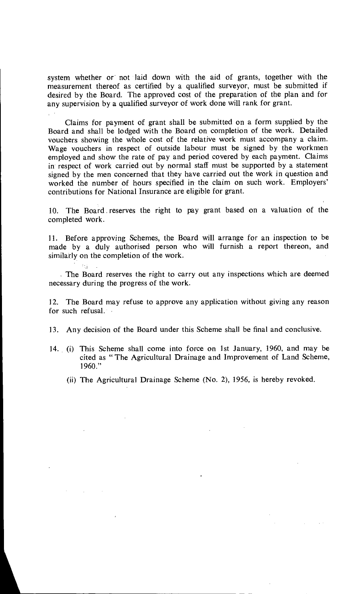system whether or not laid down with the aid of grants, together with the measurement thereof as certified by a qualified surveyor, must be submitted if desired by the Board. The approved cost of the preparation of the plan and for any supervision by a qualified surveyor of work done will rank for grant.

Claims for payment of grant shall be submitted on a form supplied by the Board and shall be lodged with the Board on completion of the work. Detailed vouchers showing the whole cost of the relative work must accompany a claim. Wage vouchers in respect of outside labour must be signed by the workmen employed and show the rate of pay and period covered by each payment. Claims in respect of work carried out by normal staff must be supported by a statement signed by the men concerned that they have carried out the work in question and worked the number of hours specified in the claim on such work. Employers' contributions for National Insurance are eligible for grant.

10. The Board . reserves the right to pay grant based on a valuation of the completed work.

11. Before approving Schemes, the Board will arrange for an inspection to be made by a duly authorised person who will furnish a report thereon, and similarly on the completion of the work.

The Board reserves the right to carry out any inspections which are deemed necessary during the progress of the work.

12. The Board may refuse to approve any application without giving any reason for such refusal.

- 13. Any decision of the Board under this Scheme shall be final and conclusive.
- 14. (i) This Scheme shall come into force on 1st January, 1960, and may be cited as " The Agricultural Drainage and Improvement of Land Scheme,  $1960."$ 
	- (ii) The Agricultural Drainage Scheme (No. 2), 1956, is hereby revoked.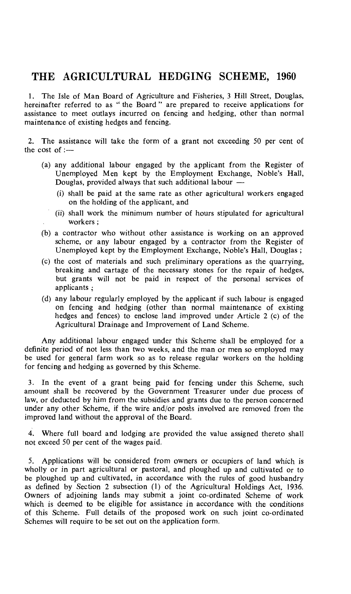### THE AGRICULTURAL HEDGING SCHEME, 1960

1. The Isle of Man Board of Agriculture and Fisheries, 3 Hill Street, Douglas, hereinafter referred to as " the Board " are prepared to receive applications for assistance to meet outlays incurred on fencing and hedging, other than normal maintenance of existing hedges and fencing.

2. The assistance will take the form of a grant not exceeding 50 per cent of the cost of :—

- (a) any additional labour engaged by the applicant from the Register of Unemployed Men kept by the Employment Exchange, Noble's Hall, Douglas, provided always that such additional labour  $-$ 
	- (i) shall be paid at the same rate as other agricultural workers engaged on the holding of the applicant, and
	- (ii) shall work the minimum number of hours stipulated for agricultural workers ;
- (b) a contractor who without other assistance is working on an approved scheme, or any labour engaged by a contractor from the Register of Unemployed kept by the Employment Exchange, Noble's Hall, Douglas ;
- (c) the cost of materials and such preliminary operations as the quarrying, breaking and cartage of the necessary stones for the repair of hedges, but grants will not be paid in respect of the personal services of applicants ;
- (d) any labour regularly employed by the applicant if such labour is engaged on fencing and hedging (other than normal maintenance of existing hedges and fences) to enclose land improved under Article 2 (c) of the Agricultural Drainage and Improvement of Land Scheme.

Any additional labour engaged under this Scheme shall be employed for a definite period of not less than two weeks, and the man or men so employed may be used for general farm work so as to release regular workers on the holding for fencing and hedging as governed by this Scheme.

3. In the event of a grant being paid for fencing under this Scheme, such amount shall be recovered by the Government Treasurer under due process of law, or deducted by him from the subsidies and grants due to the person concerned under any other Scheme, if the wire and/or posts involved are removed from the improved land without the approval of the Board.

4. Where full board and lodging are provided the value assigned thereto shall not exceed 50 per cent of the wages paid.

5. Applications will be considered from owners or occupiers of land which is wholly or in part agricultural or pastoral, and ploughed up and cultivated or to be ploughed up and cultivated, in accordance with the rules of good husbandry as defined by Section 2 subsection (1) of the Agricultural Holdings Act, 1936. Owners of adjoining lands may submit a joint co-ordinated Scheme of work which is deemed to be eligible for assistance in accordance with the conditions of this Scheme. Full details of the proposed work on such joint co-ordinated Schemes will require to be set out on the application form.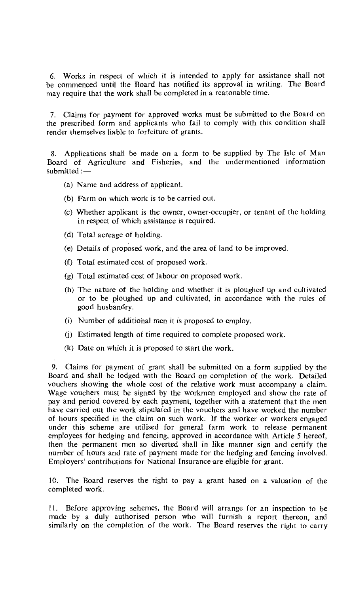6. Works in respect of which it is intended to apply for assistance shall not be commenced until the Board has notified its approval in writing. The Board may require that the work shall be completed in a reasonable time.

7. Claims for payment for approved works must be submitted to the Board on the prescribed form and applicants who fail to comply with this condition shall render themselves liable to forfeiture of grants.

8. Applications shall be made on a form to be supplied by The Isle of Man Board of Agriculture and Fisheries, and the undermentioned information submitted :—

- (a) Name and address of applicant.
- (b) Farm on which work is to be carried out.
- (c) Whether applicant is the owner, owner-occupier, or tenant of the holding in respect of which assistance is required.
- (d) Total acreage of holding.
- (e) Details of proposed work, and the area of land to be improved.
- (f) Total estimated cost of proposed work.
- (g) Total estimated cost of labour on proposed work.
- (h) The nature of the holding and whether it is ploughed up and cultivated or to be ploughed up and cultivated, in accordance with the rules of good husbandry.
- (i) Number of additional men it is proposed to employ.
- (j) Estimated length of time required to complete proposed work.
- (k) Date on which it is proposed to start the work.

9. Claims for payment of grant shall be submitted on a form supplied by the Board and shall be lodged with the Board on completion of the work. Detailed vouchers showing the whole cost of the relative work must accompany a claim. Wage vouchers must be signed by the workmen employed and show the rate of pay and period covered by each payment, together with a statement that the men have carried out the work stipulated in the vouchers and have worked the number of hours specified in the claim on such work. If the worker or workers engaged under this scheme are utilised for general farm work to release permanent employees for hedging and fencing, approved in accordance with Article 5 hereof, then the permanent men so diverted shall in like manner sign and certify the number of hours and rate of payment made for the hedging and fencing involved. Employers' contributions for National Insurance are eligible for grant.

10. The Board reserves the right to pay a grant based on a valuation of the completed work.

11. Before approving schemes, the Board will arrange for an inspection to be made by a duly authorised person who will furnish a report thereon, and similarly on the completion of the work. The Board reserves the right to carry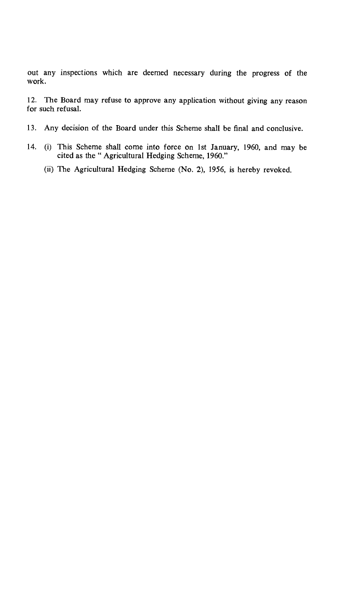out any inspections which are deemed necessary during the progress of the work.

12. The Board may refuse to approve any application without giving any reason for such refusal.

- 13. Any decision of the Board under this Scheme shall be final and conclusive.
- 14. (i) This Scheme shall come into force on 1st January, 1960, and may be cited as the " Agricultural Hedging Scheme, 1960."
	- (ii) The Agricultural Hedging Scheme (No. 2), 1956, is hereby revoked.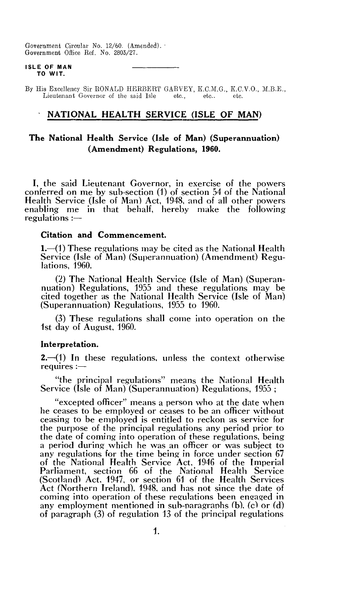Government Circular No. 12/60. (Amended). Government Office Ref. No. 2803/27.

#### **ISLE OF MAN TO WIT.**

By His Excellency Sir RONALD HERBERT GARVEY, K.C.M.G., K.C.V.O., M.B.E., Lieutenant Governor of the said Isle etc.. etc.. etc.. etc. Lieutenant Governor of the said Isle.

#### **• NATIONAL HEALTH SERVICE (ISLE OF MAN)**

#### **The National Health Service (Isle of Man) (Superannuation) (Amendment) Regulations, 1960.**

I, the said Lieutenant Governor, in exercise of the powers conferred on me by sub-section (1) of section 54 of the National Health Service (Isle of Man) Act, 1948, and of all other powers enabling me in that behalf, hereby make the following regulations :—

#### **Citation and Commencement.**

**1.—(1)** These regulations may be cited as the National Health Service (Isle of Man) (Superannuation) (Amendment) Regulations, 1960.

(2) The National Health Service (Isle of Man) (Superannuation) Regulations, 1955 and these regulations may be cited together as the National Health Service (Isle of Man) (Superannuation) Regulations, 1955 to 1960.

(3) These regulations shall come into operation on the 1st day of August, 1960.

#### **Interpretation.**

**2.—(1)** In these regulations, unless the context otherwise requires :-

"the principal regulations" means the National Health Service (Isle of Man) (Superannuation) Regulations, 1955;

"excepted officer" means a person who at the date when he ceases to be employed or ceases to be an officer without ceasing to be employed is entitled to reckon as service for the purpose of the principal regulations any period prior to the date of coming into operation of these regulations, being a period during which he was an officer or was subject to any regulations for the time being in force under section 67 of the National Health Service Act, 1946 of the Imperial Parliament, section 66 of the National Health Service (Scotland) Act, 1947, or section 61 of the Health Services Act (Northern Ireland), 1948, and has not since the date of coming into operation of these regulations been engaged in any employment mentioned in sub-paragraphs (b). (c) or (d) of paragraph (3) of regulation 13 of the principal regulations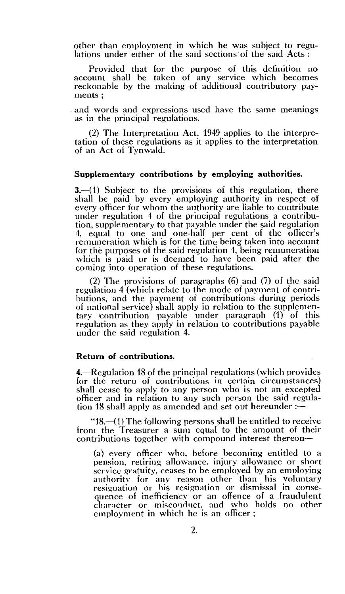other than employment in which he was subject to regulations under either of the said sections of the said Acts :

Provided that for the purpose of this definition no account shall be taken of any service which becomes reckonable by the making of additional contributory payments ;

and words and expressions used have the same meanings as in the principal regulations.

(2) The Interpretation Act, 1949 applies to the interpretation of these regulations as it applies to the interpretation of an Act of Tynwald.

#### **Supplementary contributions by employing authorities.**

**3.—(1)** Subject to the provisions of this regulation, there shall be paid by every employing authority in respect of every officer for whom the authority are liable to contribute under regulation 4 of the principal regulations a contribution, supplementary to that payable under the said regulation 4, equal to one and one-half per cent of the officer's remuneration which is for the time being taken into account for the purposes of the said regulation 4, being remuneration which is paid or is deemed to have been paid after the coming into operation of these regulations.

(2) The provisions of paragraphs (6) and (7) of the said regulation 4 (which relate to the mode of payment of contributions, and the payment of contributions during periods of national service) shall apply in relation to the supplementary contribution payable under paragraph (1) of this regulation as they apply in relation to contributions payable under the said regulation 4.

#### **Return of contributions.**

**4.—Regulation** 18 of the principal regulations (which provides for the return of contributions in certain circumstances) shall cease to apply to any person who is not an excepted officer and in relation to any such person the said regulation 18 shall apply as amended and set out hereunder : $-$ 

"18.—(1) The following persons shall be entitled to receive from the Treasurer a sum equal to the amount of their contributions together with compound interest thereon—

(a) every officer who, before becoming entitled to a pension, retiring allowance, injury allowance or short service gratuity, ceases to be employed by an employing authority for any reason other than his voluntary resignation or his resignation or dismissal in consequence of inefficiency or an offence of a fraudulent character or misconduct, and who holds no other employment in which he is an officer ;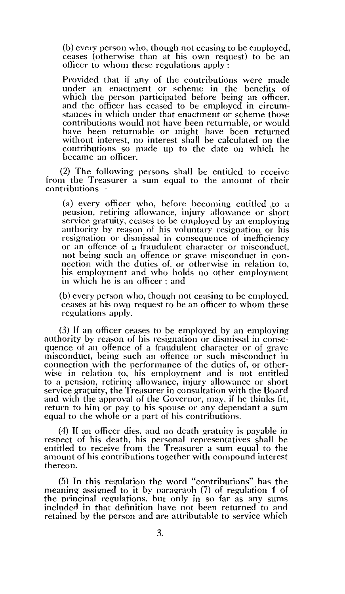(b) every person who, though not ceasing to be employed, ceases (otherwise than at his own request) to be an officer to whom these regulations apply :

Provided that if any of the contributions were made under an enactment or scheme in the benefits of which the person participated before being an officer, and the officer has ceased to be employed in circumstances in which under that enactment or scheme those contributions would not have been returnable, or would have been returnable or might have been returned without interest, no interest shall be calculated on the contributions so made up to the date on which he became an officer.

(2) The following persons shall be entitled to receive from the Treasurer a sum equal to the amount of their contributions—

(a) every officer who, before becoming entitled to a pension, retiring allowance, injury allowance or short service gratuity, ceases to be employed by an employing authority by reason of his voluntary resignation or his resignation or dismissal in consequence of inefficiency or an offence of a fraudulent character or misconduct, not being such an offence or grave misconduct in connection with the duties of, or otherwise in relation to, his employment and who holds no other employment in which he is an officer ; and

(b) every person who, though not ceasing to be employed, ceases at his own request to be an officer to whom these regulations apply.

(3) if an officer ceases to be employed by an employing authority by reason of his resignation or dismissal in consequence of an offence of a fraudulent character or of grave misconduct, being such an offence or such misconduct in connection with the performance of the duties of, or otherwise in relation to, his employment and is not entitled to a pension, retiring allowance, injury allowance or short service gratuity, the Treasurer in consultation with the Board and with the approval of the Governor, may, if he thinks fit, return to him or pay to his spouse or any dependant a sum equal to the whole or a part of his contributions.

(4) If an officer dies, and no death gratuity is payable in respect of his death, his personal representatives shall be entitled to receive from the Treasurer a sum equal to the amount of his contributions together with compound interest thereon.

 $(5)$  In this regulation the word "contributions" has the meaning assigned to it by paragraph (7) of regulation I of the principal regulations, but only in so far as any sums included in that definition have not been returned to and retained by the person and are attributable to service which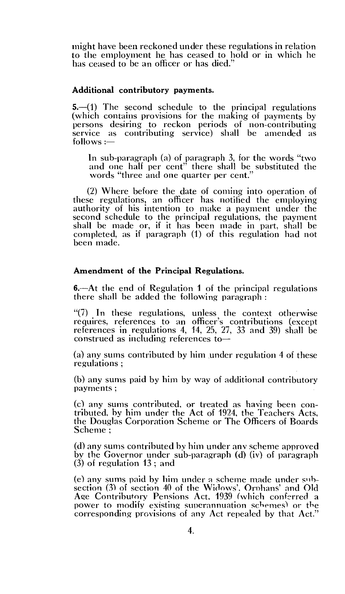might have been reckoned under these regulations in relation to the employment he has ceased to hold or in which he has ceased to be an officer or has died."

#### **Additional contributory payments.**

**5.—(1)** The second schedule to the principal regulations (which contains provisions for the making of payments by persons desiring to reckon periods of non-contributing service as contributing service) shall be amended as follows :—

In sub-paragraph (a) of paragraph 3, for the words "two and one half per cent" there shall be substituted the words "three and one quarter per cent."

(2) Where before the date of coming into operation of these regulations, an officer has notified the employing authority of his intention to make a payment under the second schedule to the principal regulations, the payment shall be made or, if it has been made in part, shall be completed, as if paragraph (1) of this regulation had not been made.

#### **Amendment of the Principal Regulations.**

**6.—At** the end of Regulation 1 of the principal regulations there shall be added the following paragraph :

"(7) In these regulations, unless the context otherwise requires, references to an officer's contributions (except references in regulations 4, 14, 25, 27, 33 and 39) shall be construed as including references to—

(a) any sums contributed by him under regulation 4 of these regulations ;

(b) any sums paid by him by way of additional contributory payments ;

(c) any sums contributed, or treated as having been contributed, by him under the Act of 1924, the Teachers Acts, the Douglas Corporation Scheme or The Officers of Boards Scheme ;

(d) any sums contributed by him under any scheme approved by the Governor under sub-paragraph (d) (iv) of paragraph (3) of regulation 13 ; and

(e) any sums paid by him under a scheme made under suibsection (3) of section 40 of the Widows', Orphans' and Old Age Contributory Pensions Act, 1939 (which conferred a power to modify existing superannuation schemes) or the corresponding provisions of any Act repealed by that Act."